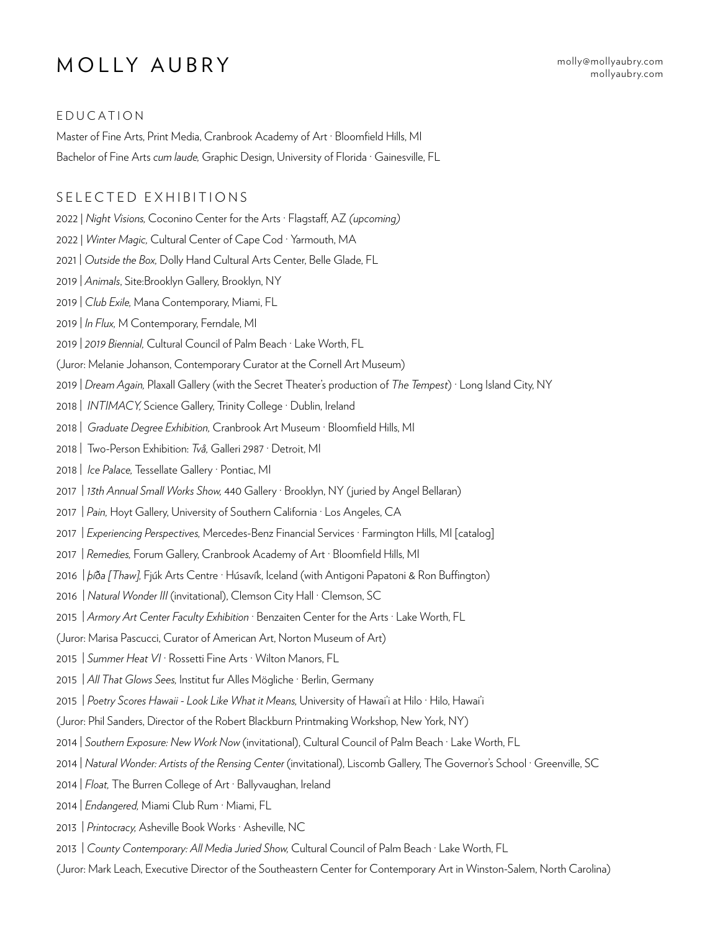# MOLLY AUBRY mollyaubry.com

[mollyaubry.com](http://mollyaubry.com/)

## EDUCATION

Master of Fine Arts, Print Media, Cranbrook Academy of Art · Bloomfield Hills, MI Bachelor of Fine Arts *cum laude,* Graphic Design, University of Florida · Gainesville, FL

## SELECTED EXHIBITIONS

2022 | *Night Visions,* Coconino Center for the Arts · Flagstaff, AZ *(upcoming)*

- 2022 | *Winter Magic,* Cultural Center of Cape Cod · Yarmouth, MA
- 2021 | *Outside the Box,* Dolly Hand Cultural Arts Center, Belle Glade, FL
- 2019 | *Animals*, Site:Brooklyn Gallery, Brooklyn, NY
- 2019 | *Club Exile,* Mana Contemporary, Miami, FL
- 2019 | *In Flux,* M Contemporary, Ferndale, MI
- 2019 | *2019 Biennial,* Cultural Council of Palm Beach · Lake Worth, FL
- (Juror: Melanie Johanson, Contemporary Curator at the Cornell Art Museum)
- 2019 | *Dream Again,* Plaxall Gallery (with the Secret Theater's production of *The Tempest*) · Long Island City, NY
- 2018 | *INTIMACY,* Science Gallery, Trinity College · Dublin, Ireland
- 2018 | *Graduate Degree Exhibition,* Cranbrook Art Museum · Bloomfield Hills, MI
- 2018 | Two-Person Exhibition: *Två,* Galleri 2987 · Detroit, MI
- 2018 | *Ice Palace,* Tessellate Gallery · Pontiac, MI
- 2017 | *13th Annual Small Works Show,* 440 Gallery · Brooklyn, NY (juried by Angel Bellaran)
- 2017 | *Pain,* Hoyt Gallery, University of Southern California · Los Angeles, CA
- 2017 | *Experiencing Perspectives,* Mercedes-Benz Financial Services · Farmington Hills, MI [catalog]
- 2017 | *Remedies,* Forum Gallery, Cranbrook Academy of Art · Bloomfield Hills, MI
- 2016 | *þíða [Thaw],* Fjúk Arts Centre · Húsavík, Iceland (with Antigoni Papatoni & Ron Buffington)
- 2016 | Natural Wonder III (invitational), Clemson City Hall · Clemson, SC
- 2015 | *Armory Art Center Faculty Exhibition* · Benzaiten Center for the Arts · Lake Worth, FL
- (Juror: Marisa Pascucci, Curator of American Art, Norton Museum of Art)
- 2015 | *Summer Heat VI* · Rossetti Fine Arts · Wilton Manors, FL
- 2015 | *All That Glows Sees,* Institut fur Alles Mögliche · Berlin, Germany
- 2015 | *Poetry Scores Hawaii Look Like What it Means,* University of Hawai'i at Hilo · Hilo, Hawai'i
- (Juror: Phil Sanders, Director of the Robert Blackburn Printmaking Workshop, New York, NY)
- 2014 | *Southern Exposure: New Work Now* (invitational), Cultural Council of Palm Beach · Lake Worth, FL
- 2014 | *Natural Wonder: Artists of the Rensing Center* (invitational), Liscomb Gallery, The Governor's School · Greenville, SC
- 2014 | *Float,* The Burren College of Art · Ballyvaughan, Ireland
- 2014 | *Endangered,* Miami Club Rum · Miami, FL
- 2013 | *Printocracy,* Asheville Book Works · Asheville, NC
- 2013 | *County Contemporary: All Media Juried Show,* Cultural Council of Palm Beach · Lake Worth, FL
- (Juror: Mark Leach, Executive Director of the Southeastern Center for Contemporary Art in Winston-Salem, North Carolina)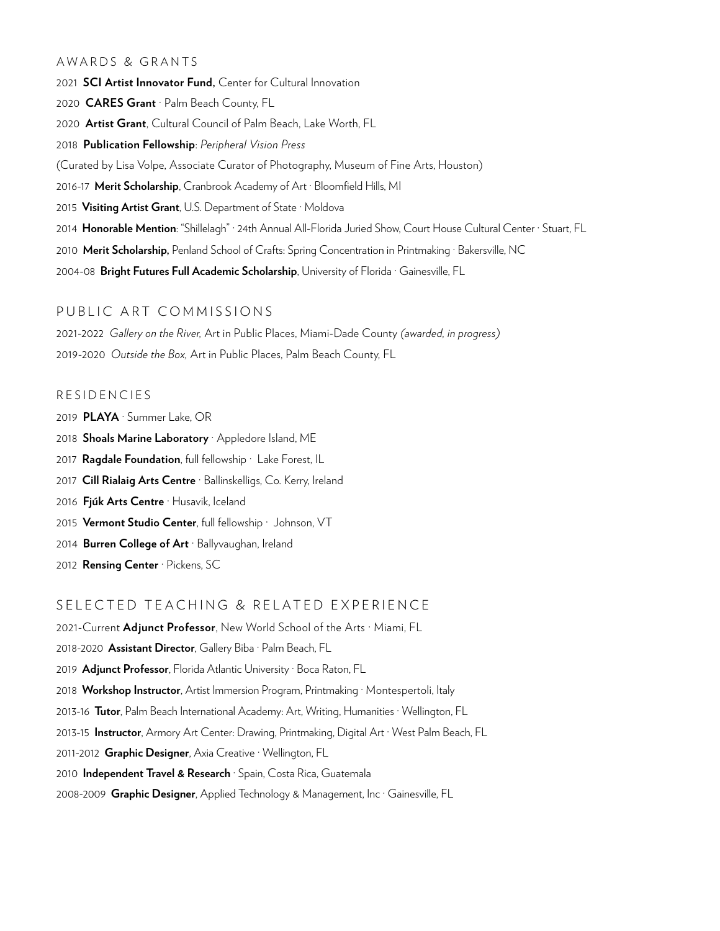#### AWARDS & GRANTS

**SCI Artist Innovator Fund,** Center for Cultural Innovation **CARES Grant** · Palm Beach County, FL **Artist Grant**, Cultural Council of Palm Beach, Lake Worth, FL **Publication Fellowship**: *Peripheral Vision Press* (Curated by Lisa Volpe, Associate Curator of Photography, Museum of Fine Arts, Houston) 2016-17 **Merit Scholarship**, Cranbrook Academy of Art · Bloomfield Hills, MI **Visiting Artist Grant**, U.S. Department of State · Moldova **Honorable Mention**: "Shillelagh" · 24th Annual All-Florida Juried Show, Court House Cultural Center · Stuart, FL **Merit Scholarship,** Penland School of Crafts: Spring Concentration in Printmaking · Bakersville, NC 2004-08 **Bright Futures Full Academic Scholarship**, University of Florida · Gainesville, FL

## PUBLIC ART COMMISSIONS

2021-2022 *Gallery on the River,* Art in Public Places, Miami-Dade County *(awarded, in progress)* 2019-2020 *Outside the Box,* Art in Public Places, Palm Beach County, FL

### RESIDENCIES

- 2019 **PLAYA** · Summer Lake, OR
- 2018 **Shoals Marine Laboratory** · Appledore Island, ME
- 2017 **Ragdale Foundation**, full fellowship · Lake Forest, IL
- 2017 **Cill Rialaig Arts Centre** · Ballinskelligs, Co. Kerry, Ireland
- 2016 **Fjúk Arts Centre** · Husavik, Iceland
- 2015 **Vermont Studio Center**, full fellowship · Johnson, VT
- 2014 **Burren College of Art** · Ballyvaughan, Ireland
- 2012 **Rensing Center** · Pickens, SC

#### SELECTED TEACHING & RELATED EXPERIENCE

2021-Current **Adjunct Professor**, New World School of the Arts · Miami, FL 2018-2020 **Assistant Director**, Gallery Biba · Palm Beach, FL 2019 **Adjunct Professor**, Florida Atlantic University · Boca Raton, FL 2018 **Workshop Instructor**, Artist Immersion Program, Printmaking · Montespertoli, Italy 2013-16 **Tutor**, Palm Beach International Academy: Art, Writing, Humanities · Wellington, FL 2013-15 **Instructor**, Armory Art Center: Drawing, Printmaking, Digital Art · West Palm Beach, FL 2011-2012 **Graphic Designer**, Axia Creative · Wellington, FL 2010 **Independent Travel & Research** · Spain, Costa Rica, Guatemala 2008-2009 **Graphic Designer**, Applied Technology & Management, Inc · Gainesville, FL